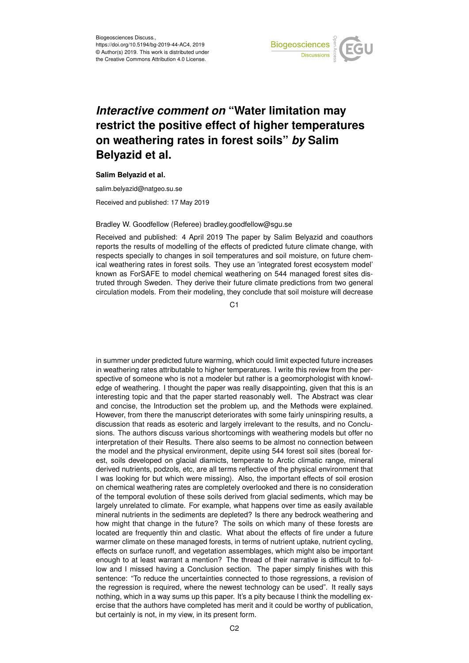

# *Interactive comment on* **"Water limitation may restrict the positive effect of higher temperatures on weathering rates in forest soils"** *by* **Salim Belyazid et al.**

### **Salim Belyazid et al.**

salim.belyazid@natgeo.su.se

Received and published: 17 May 2019

#### Bradley W. Goodfellow (Referee) bradley.goodfellow@sgu.se

Received and published: 4 April 2019 The paper by Salim Belyazid and coauthors reports the results of modelling of the effects of predicted future climate change, with respects specially to changes in soil temperatures and soil moisture, on future chemical weathering rates in forest soils. They use an 'integrated forest ecosystem model' known as ForSAFE to model chemical weathering on 544 managed forest sites distruted through Sweden. They derive their future climate predictions from two general circulation models. From their modeling, they conclude that soil moisture will decrease

C1

in summer under predicted future warming, which could limit expected future increases in weathering rates attributable to higher temperatures. I write this review from the perspective of someone who is not a modeler but rather is a geomorphologist with knowledge of weathering. I thought the paper was really disappointing, given that this is an interesting topic and that the paper started reasonably well. The Abstract was clear and concise, the Introduction set the problem up, and the Methods were explained. However, from there the manuscript deteriorates with some fairly uninspiring results, a discussion that reads as esoteric and largely irrelevant to the results, and no Conclusions. The authors discuss various shortcomings with weathering models but offer no interpretation of their Results. There also seems to be almost no connection between the model and the physical environment, depite using 544 forest soil sites (boreal forest, soils developed on glacial diamicts, temperate to Arctic climatic range, mineral derived nutrients, podzols, etc, are all terms reflective of the physical environment that I was looking for but which were missing). Also, the important effects of soil erosion on chemical weathering rates are completely overlooked and there is no consideration of the temporal evolution of these soils derived from glacial sediments, which may be largely unrelated to climate. For example, what happens over time as easily available mineral nutrients in the sediments are depleted? Is there any bedrock weathering and how might that change in the future? The soils on which many of these forests are located are frequently thin and clastic. What about the effects of fire under a future warmer climate on these managed forests, in terms of nutrient uptake, nutrient cycling, effects on surface runoff, and vegetation assemblages, which might also be important enough to at least warrant a mention? The thread of their narrative is difficult to follow and I missed having a Conclusion section. The paper simply finishes with this sentence: "To reduce the uncertainties connected to those regressions, a revision of the regression is required, where the newest technology can be used". It really says nothing, which in a way sums up this paper. It's a pity because I think the modelling exercise that the authors have completed has merit and it could be worthy of publication, but certainly is not, in my view, in its present form.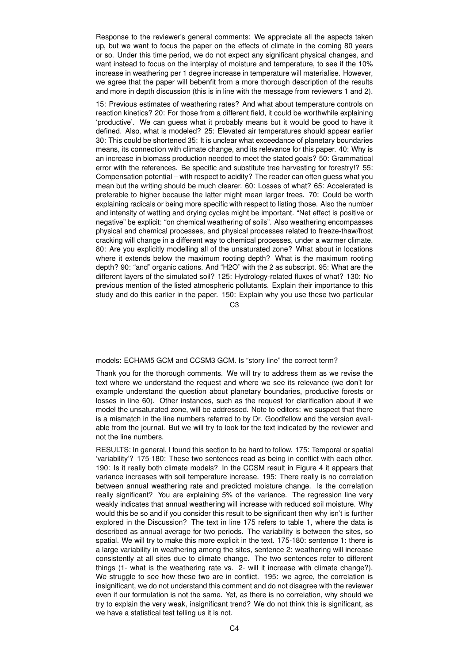Response to the reviewer's general comments: We appreciate all the aspects taken up, but we want to focus the paper on the effects of climate in the coming 80 years or so. Under this time period, we do not expect any significant physical changes, and want instead to focus on the interplay of moisture and temperature, to see if the 10% increase in weathering per 1 degree increase in temperature will materialise. However, we agree that the paper will bebenfit from a more thorough description of the results and more in depth discussion (this is in line with the message from reviewers 1 and 2).

15: Previous estimates of weathering rates? And what about temperature controls on reaction kinetics? 20: For those from a different field, it could be worthwhile explaining 'productive'. We can guess what it probably means but it would be good to have it defined. Also, what is modeled? 25: Elevated air temperatures should appear earlier 30: This could be shortened 35: It is unclear what exceedance of planetary boundaries means, its connection with climate change, and its relevance for this paper. 40: Why is an increase in biomass production needed to meet the stated goals? 50: Grammatical error with the references. Be specific and substitute tree harvesting for forestry!? 55: Compensation potential – with respect to acidity? The reader can often guess what you mean but the writing should be much clearer. 60: Losses of what? 65: Accelerated is preferable to higher because the latter might mean larger trees. 70: Could be worth explaining radicals or being more specific with respect to listing those. Also the number and intensity of wetting and drying cycles might be important. "Net effect is positive or negative" be explicit: "on chemical weathering of soils". Also weathering encompasses physical and chemical processes, and physical processes related to freeze-thaw/frost cracking will change in a different way to chemical processes, under a warmer climate. 80: Are you explicitly modelling all of the unsaturated zone? What about in locations where it extends below the maximum rooting depth? What is the maximum rooting depth? 90: "and" organic cations. And "H2O" with the 2 as subscript. 95: What are the different layers of the simulated soil? 125: Hydrology-related fluxes of what? 130: No previous mention of the listed atmospheric pollutants. Explain their importance to this study and do this earlier in the paper. 150: Explain why you use these two particular

 $C<sub>3</sub>$ 

## models: ECHAM5 GCM and CCSM3 GCM. Is "story line" the correct term?

Thank you for the thorough comments. We will try to address them as we revise the text where we understand the request and where we see its relevance (we don't for example understand the question about planetary boundaries, productive forests or losses in line 60). Other instances, such as the request for clarification about if we model the unsaturated zone, will be addressed. Note to editors: we suspect that there is a mismatch in the line numbers referred to by Dr. Goodfellow and the version available from the journal. But we will try to look for the text indicated by the reviewer and not the line numbers.

RESULTS: In general, I found this section to be hard to follow. 175: Temporal or spatial 'variability'? 175-180: These two sentences read as being in conflict with each other. 190: Is it really both climate models? In the CCSM result in Figure 4 it appears that variance increases with soil temperature increase. 195: There really is no correlation between annual weathering rate and predicted moisture change. Is the correlation really significant? You are explaining 5% of the variance. The regression line very weakly indicates that annual weathering will increase with reduced soil moisture. Why would this be so and if you consider this result to be significant then why isn't is further explored in the Discussion? The text in line 175 refers to table 1, where the data is described as annual average for two periods. The variability is between the sites, so spatial. We will try to make this more explicit in the text. 175-180: sentence 1: there is a large variability in weathering among the sites, sentence 2: weathering will increase consistently at all sites due to climate change. The two sentences refer to different things (1- what is the weathering rate vs. 2- will it increase with climate change?). We struggle to see how these two are in conflict. 195: we agree, the correlation is insignificant, we do not understand this comment and do not disagree with the reviewer even if our formulation is not the same. Yet, as there is no correlation, why should we try to explain the very weak, insignificant trend? We do not think this is significant, as we have a statistical test telling us it is not.